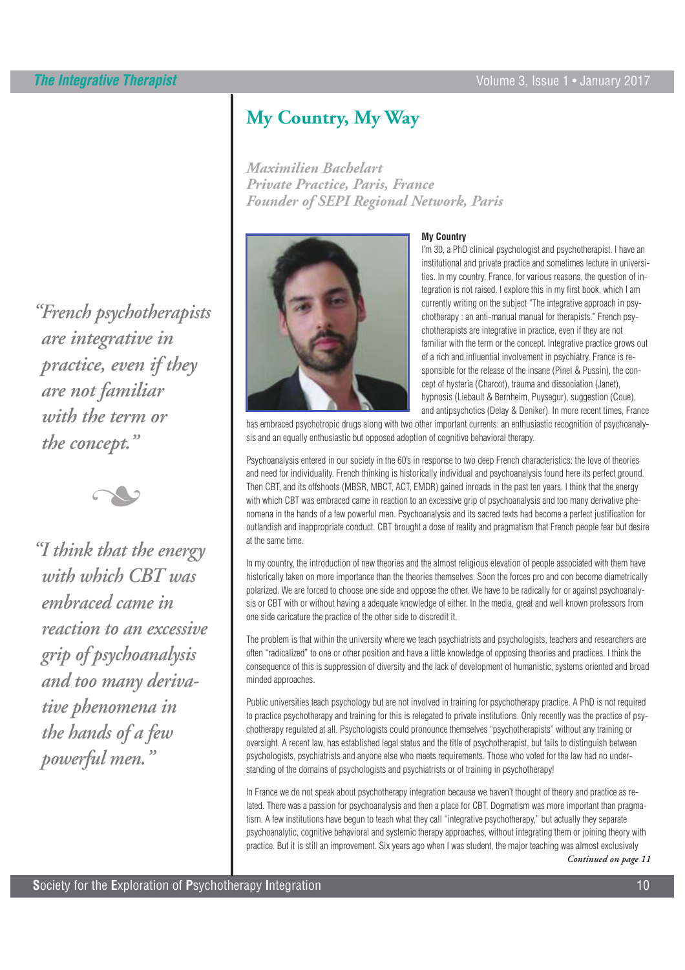*"French psychotherapists are integrative in practice, even if they are not familiar with the term or the concept."* 



*"I think that the energy with which CBT was embraced came in reaction to an excessive grip of psychoanalysis and too many derivative phenomena in the hands of a few powerful men."* 

# **My Country, My Way**

*Maximilien Bachelart Private Practice, Paris, France Founder of SEPI Regional Network, Paris*



### **My Country**

I'm 30, a PhD clinical psychologist and psychotherapist. I have an institutional and private practice and sometimes lecture in universities. In my country, France, for various reasons, the question of integration is not raised. I explore this in my first book, which I am currently writing on the subject "The integrative approach in psychotherapy : an anti-manual manual for therapists." French psychotherapists are integrative in practice, even if they are not familiar with the term or the concept. Integrative practice grows out of a rich and influential involvement in psychiatry. France is responsible for the release of the insane (Pinel & Pussin), the concept of hysteria (Charcot), trauma and dissociation (Janet), hypnosis (Liebault & Bernheim, Puysegur), suggestion (Coue), and antipsychotics (Delay & Deniker). In more recent times, France

has embraced psychotropic drugs along with two other important currents: an enthusiastic recognition of psychoanalysis and an equally enthusiastic but opposed adoption of cognitive behavioral therapy.

Psychoanalysis entered in our society in the 60's in response to two deep French characteristics: the love of theories and need for individuality. French thinking is historically individual and psychoanalysis found here its perfect ground. Then CBT, and its offshoots (MBSR, MBCT, ACT, EMDR) gained inroads in the past ten years. I think that the energy with which CBT was embraced came in reaction to an excessive grip of psychoanalysis and too many derivative phenomena in the hands of a few powerful men. Psychoanalysis and its sacred texts had become a perfect justification for outlandish and inappropriate conduct. CBT brought a dose of reality and pragmatism that French people fear but desire at the same time.

In my country, the introduction of new theories and the almost religious elevation of people associated with them have historically taken on more importance than the theories themselves. Soon the forces pro and con become diametrically polarized. We are forced to choose one side and oppose the other. We have to be radically for or against psychoanalysis or CBT with or without having a adequate knowledge of either. In the media, great and well known professors from one side caricature the practice of the other side to discredit it.

The problem is that within the university where we teach psychiatrists and psychologists, teachers and researchers are often "radicalized" to one or other position and have a little knowledge of opposing theories and practices. I think the consequence of this is suppression of diversity and the lack of development of humanistic, systems oriented and broad minded approaches.

Public universities teach psychology but are not involved in training for psychotherapy practice. A PhD is not required to practice psychotherapy and training for this is relegated to private institutions. Only recently was the practice of psychotherapy regulated at all. Psychologists could pronounce themselves "psychotherapists" without any training or oversight. A recent law, has established legal status and the title of psychotherapist, but fails to distinguish between psychologists, psychiatrists and anyone else who meets requirements. Those who voted for the law had no understanding of the domains of psychologists and psychiatrists or of training in psychotherapy!

In France we do not speak about psychotherapy integration because we haven't thought of theory and practice as related. There was a passion for psychoanalysis and then a place for CBT. Dogmatism was more important than pragmatism. A few institutions have begun to teach what they call "integrative psychotherapy," but actually they separate psychoanalytic, cognitive behavioral and systemic therapy approaches, without integrating them or joining theory with practice. But it is still an improvement. Six years ago when I was student, the major teaching was almost exclusively

*Continued on page 11*